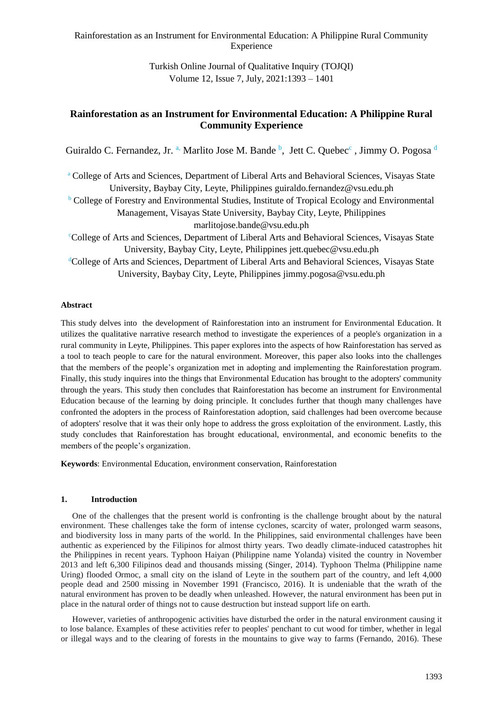Turkish Online Journal of Qualitative Inquiry (TOJQI) Volume 12, Issue 7, July, 2021:1393 – 1401

# **Rainforestation as an Instrument for Environmental Education: A Philippine Rural Community Experience**

Guiraldo C. Fernandez, Jr. <sup>a,</sup> Marlito Jose M. Bande <sup>b</sup>, Jett C. Quebec<sup>c</sup>, Jimmy O. Pogosa d

<sup>a</sup> College of Arts and Sciences, Department of Liberal Arts and Behavioral Sciences, Visayas State University, Baybay City, Leyte, Philippines guiraldo.fernandez@vsu.edu.ph

 $\overline{b}$  College of Forestry and Environmental Studies, Institute of Tropical Ecology and Environmental Management, Visayas State University, Baybay City, Leyte, Philippines

marlitojose.bande@vsu.edu.ph

<sup>c</sup>College of Arts and Sciences, Department of Liberal Arts and Behavioral Sciences, Visayas State University, Baybay City, Leyte, Philippines jett.quebec@vsu.edu.ph

<sup>d</sup>College of Arts and Sciences, Department of Liberal Arts and Behavioral Sciences, Visayas State University, Baybay City, Leyte, Philippines jimmy.pogosa@vsu.edu.ph

# **Abstract**

This study delves into the development of Rainforestation into an instrument for Environmental Education. It utilizes the qualitative narrative research method to investigate the experiences of a people's organization in a rural community in Leyte, Philippines. This paper explores into the aspects of how Rainforestation has served as a tool to teach people to care for the natural environment. Moreover, this paper also looks into the challenges that the members of the people's organization met in adopting and implementing the Rainforestation program. Finally, this study inquires into the things that Environmental Education has brought to the adopters' community through the years. This study then concludes that Rainforestation has become an instrument for Environmental Education because of the learning by doing principle. It concludes further that though many challenges have confronted the adopters in the process of Rainforestation adoption, said challenges had been overcome because of adopters' resolve that it was their only hope to address the gross exploitation of the environment. Lastly, this study concludes that Rainforestation has brought educational, environmental, and economic benefits to the members of the people's organization.

**Keywords**: Environmental Education, environment conservation, Rainforestation

### **1. Introduction**

One of the challenges that the present world is confronting is the challenge brought about by the natural environment. These challenges take the form of intense cyclones, scarcity of water, prolonged warm seasons, and biodiversity loss in many parts of the world. In the Philippines, said environmental challenges have been authentic as experienced by the Filipinos for almost thirty years. Two deadly climate-induced catastrophes hit the Philippines in recent years. Typhoon Haiyan (Philippine name Yolanda) visited the country in November 2013 and left 6,300 Filipinos dead and thousands missing (Singer, 2014). Typhoon Thelma (Philippine name Uring) flooded Ormoc, a small city on the island of Leyte in the southern part of the country, and left 4,000 people dead and 2500 missing in November 1991 (Francisco, 2016). It is undeniable that the wrath of the natural environment has proven to be deadly when unleashed. However, the natural environment has been put in place in the natural order of things not to cause destruction but instead support life on earth.

However, varieties of anthropogenic activities have disturbed the order in the natural environment causing it to lose balance. Examples of these activities refer to peoples' penchant to cut wood for timber, whether in legal or illegal ways and to the clearing of forests in the mountains to give way to farms (Fernando, 2016). These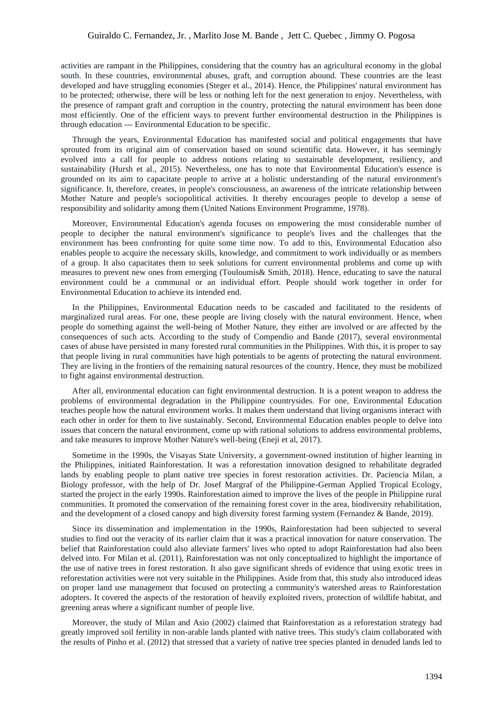activities are rampant in the Philippines, considering that the country has an agricultural economy in the global south. In these countries, environmental abuses, graft, and corruption abound. These countries are the least developed and have struggling economies (Steger et al., 2014). Hence, the Philippines' natural environment has to be protected; otherwise, there will be less or nothing left for the next generation to enjoy. Nevertheless, with the presence of rampant graft and corruption in the country, protecting the natural environment has been done most efficiently. One of the efficient ways to prevent further environmental destruction in the Philippines is through education --- Environmental Education to be specific.

Through the years, Environmental Education has manifested social and political engagements that have sprouted from its original aim of conservation based on sound scientific data. However, it has seemingly evolved into a call for people to address notions relating to sustainable development, resiliency, and sustainability (Hursh et al., 2015). Nevertheless, one has to note that Environmental Education's essence is grounded on its aim to capacitate people to arrive at a holistic understanding of the natural environment's significance. It, therefore, creates, in people's consciousness, an awareness of the intricate relationship between Mother Nature and people's sociopolitical activities. It thereby encourages people to develop a sense of responsibility and solidarity among them (United Nations Environment Programme, 1978).

Moreover, Environmental Education's agenda focuses on empowering the most considerable number of people to decipher the natural environment's significance to people's lives and the challenges that the environment has been confronting for quite some time now. To add to this, Environmental Education also enables people to acquire the necessary skills, knowledge, and commitment to work individually or as members of a group. It also capacitates them to seek solutions for current environmental problems and come up with measures to prevent new ones from emerging (Touloumis& Smith, 2018). Hence, educating to save the natural environment could be a communal or an individual effort. People should work together in order for Environmental Education to achieve its intended end.

In the Philippines, Environmental Education needs to be cascaded and facilitated to the residents of marginalized rural areas. For one, these people are living closely with the natural environment. Hence, when people do something against the well-being of Mother Nature, they either are involved or are affected by the consequences of such acts. According to the study of Compendio and Bande (2017), several environmental cases of abuse have persisted in many forested rural communities in the Philippines. With this, it is proper to say that people living in rural communities have high potentials to be agents of protecting the natural environment. They are living in the frontiers of the remaining natural resources of the country. Hence, they must be mobilized to fight against environmental destruction.

After all, environmental education can fight environmental destruction. It is a potent weapon to address the problems of environmental degradation in the Philippine countrysides. For one, Environmental Education teaches people how the natural environment works. It makes them understand that living organisms interact with each other in order for them to live sustainably. Second, Environmental Education enables people to delve into issues that concern the natural environment, come up with rational solutions to address environmental problems, and take measures to improve Mother Nature's well-being (Eneji et al, 2017).

Sometime in the 1990s, the Visayas State University, a government-owned institution of higher learning in the Philippines, initiated Rainforestation. It was a reforestation innovation designed to rehabilitate degraded lands by enabling people to plant native tree species in forest restoration activities. Dr. Paciencia Milan, a Biology professor, with the help of Dr. Josef Margraf of the Philippine-German Applied Tropical Ecology, started the project in the early 1990s. Rainforestation aimed to improve the lives of the people in Philippine rural communities. It promoted the conservation of the remaining forest cover in the area, biodiversity rehabilitation, and the development of a closed canopy and high diversity forest farming system (Fernandez & Bande, 2019).

Since its dissemination and implementation in the 1990s, Rainforestation had been subjected to several studies to find out the veracity of its earlier claim that it was a practical innovation for nature conservation. The belief that Rainforestation could also alleviate farmers' lives who opted to adopt Rainforestation had also been delved into. For Milan et al. (2011), Rainforestation was not only conceptualized to highlight the importance of the use of native trees in forest restoration. It also gave significant shreds of evidence that using exotic trees in reforestation activities were not very suitable in the Philippines. Aside from that, this study also introduced ideas on proper land use management that focused on protecting a community's watershed areas to Rainforestation adopters. It covered the aspects of the restoration of heavily exploited rivers, protection of wildlife habitat, and greening areas where a significant number of people live.

Moreover, the study of Milan and Asio (2002) claimed that Rainforestation as a reforestation strategy had greatly improved soil fertility in non-arable lands planted with native trees. This study's claim collaborated with the results of Pinho et al. (2012) that stressed that a variety of native tree species planted in denuded lands led to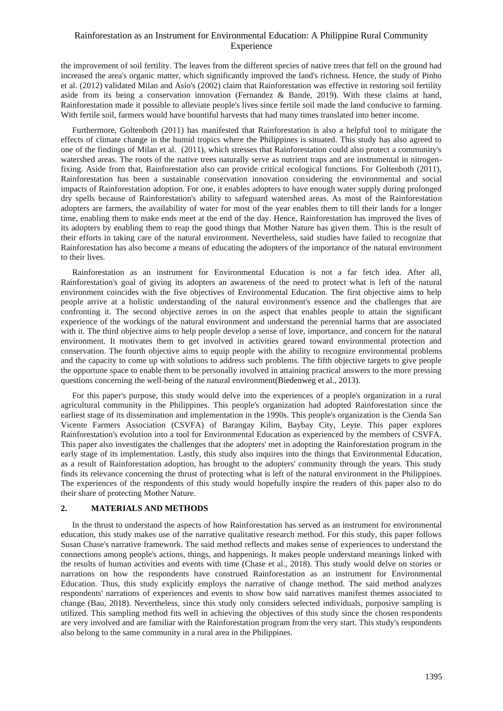the improvement of soil fertility. The leaves from the different species of native trees that fell on the ground had increased the area's organic matter, which significantly improved the land's richness. Hence, the study of Pinho et al. (2012) validated Milan and Asio's (2002) claim that Rainforestation was effective in restoring soil fertility aside from its being a conservation innovation (Fernandez & Bande, 2019). With these claims at hand, Rainforestation made it possible to alleviate people's lives since fertile soil made the land conducive to farming. With fertile soil, farmers would have bountiful harvests that had many times translated into better income.

Furthermore, Goltenboth (2011) has manifested that Rainforestation is also a helpful tool to mitigate the effects of climate change in the humid tropics where the Philippines is situated. This study has also agreed to one of the findings of Milan et al. (2011), which stresses that Rainforestation could also protect a community's watershed areas. The roots of the native trees naturally serve as nutrient traps and are instrumental in nitrogenfixing. Aside from that, Rainforestation also can provide critical ecological functions. For Goltenboth (2011), Rainforestation has been a sustainable conservation innovation considering the environmental and social impacts of Rainforestation adoption. For one, it enables adopters to have enough water supply during prolonged dry spells because of Rainforestation's ability to safeguard watershed areas. As most of the Rainforestation adopters are farmers, the availability of water for most of the year enables them to till their lands for a longer time, enabling them to make ends meet at the end of the day. Hence, Rainforestation has improved the lives of its adopters by enabling them to reap the good things that Mother Nature has given them. This is the result of their efforts in taking care of the natural environment. Nevertheless, said studies have failed to recognize that Rainforestation has also become a means of educating the adopters of the importance of the natural environment to their lives.

Rainforestation as an instrument for Environmental Education is not a far fetch idea. After all, Rainforestation's goal of giving its adopters an awareness of the need to protect what is left of the natural environment coincides with the five objectives of Environmental Education. The first objective aims to help people arrive at a holistic understanding of the natural environment's essence and the challenges that are confronting it. The second objective zeroes in on the aspect that enables people to attain the significant experience of the workings of the natural environment and understand the perennial harms that are associated with it. The third objective aims to help people develop a sense of love, importance, and concern for the natural environment. It motivates them to get involved in activities geared toward environmental protection and conservation. The fourth objective aims to equip people with the ability to recognize environmental problems and the capacity to come up with solutions to address such problems. The fifth objective targets to give people the opportune space to enable them to be personally involved in attaining practical answers to the more pressing questions concerning the well-being of the natural environment(Biedenweg et al., 2013).

For this paper's purpose, this study would delve into the experiences of a people's organization in a rural agricultural community in the Philippines. This people's organization had adopted Rainforestation since the earliest stage of its dissemination and implementation in the 1990s. This people's organization is the Cienda San Vicente Farmers Association (CSVFA) of Barangay Kilim, Baybay City, Leyte. This paper explores Rainforestation's evolution into a tool for Environmental Education as experienced by the members of CSVFA. This paper also investigates the challenges that the adopters' met in adopting the Rainforestation program in the early stage of its implementation. Lastly, this study also inquires into the things that Environmental Education, as a result of Rainforestation adoption, has brought to the adopters' community through the years. This study finds its relevance concerning the thrust of protecting what is left of the natural environment in the Philippines. The experiences of the respondents of this study would hopefully inspire the readers of this paper also to do their share of protecting Mother Nature.

#### **2. MATERIALS AND METHODS**

In the thrust to understand the aspects of how Rainforestation has served as an instrument for environmental education, this study makes use of the narrative qualitative research method. For this study, this paper follows Susan Chase's narrative framework. The said method reflects and makes sense of experiences to understand the connections among people's actions, things, and happenings. It makes people understand meanings linked with the results of human activities and events with time (Chase et al., 2018). This study would delve on stories or narrations on how the respondents have construed Rainforestation as an instrument for Environmental Education. Thus, this study explicitly employs the narrative of change method. The said method analyzes respondents' narrations of experiences and events to show how said narratives manifest themes associated to change (Bau, 2018). Nevertheless, since this study only considers selected individuals, purposive sampling is utilized. This sampling method fits well in achieving the objectives of this study since the chosen respondents are very involved and are familiar with the Rainforestation program from the very start. This study's respondents also belong to the same community in a rural area in the Philippines.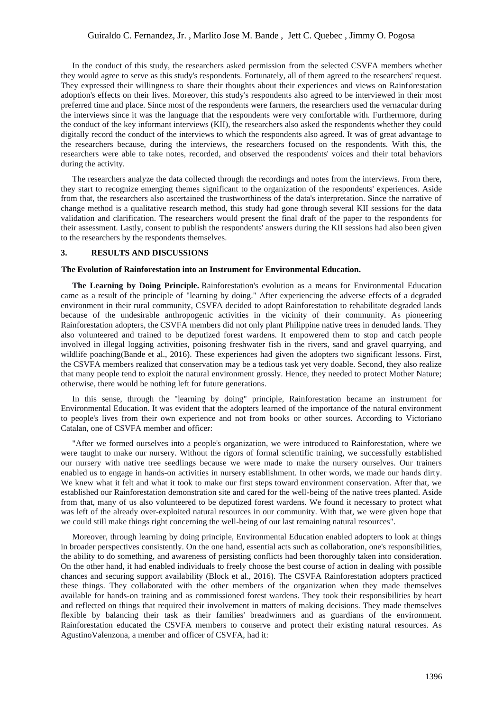In the conduct of this study, the researchers asked permission from the selected CSVFA members whether they would agree to serve as this study's respondents. Fortunately, all of them agreed to the researchers' request. They expressed their willingness to share their thoughts about their experiences and views on Rainforestation adoption's effects on their lives. Moreover, this study's respondents also agreed to be interviewed in their most preferred time and place. Since most of the respondents were farmers, the researchers used the vernacular during the interviews since it was the language that the respondents were very comfortable with. Furthermore, during the conduct of the key informant interviews (KII), the researchers also asked the respondents whether they could digitally record the conduct of the interviews to which the respondents also agreed. It was of great advantage to the researchers because, during the interviews, the researchers focused on the respondents. With this, the researchers were able to take notes, recorded, and observed the respondents' voices and their total behaviors during the activity.

The researchers analyze the data collected through the recordings and notes from the interviews. From there, they start to recognize emerging themes significant to the organization of the respondents' experiences. Aside from that, the researchers also ascertained the trustworthiness of the data's interpretation. Since the narrative of change method is a qualitative research method, this study had gone through several KII sessions for the data validation and clarification. The researchers would present the final draft of the paper to the respondents for their assessment. Lastly, consent to publish the respondents' answers during the KII sessions had also been given to the researchers by the respondents themselves.

#### **3. RESULTS AND DISCUSSIONS**

#### **The Evolution of Rainforestation into an Instrument for Environmental Education.**

**The Learning by Doing Principle.** Rainforestation's evolution as a means for Environmental Education came as a result of the principle of "learning by doing." After experiencing the adverse effects of a degraded environment in their rural community, CSVFA decided to adopt Rainforestation to rehabilitate degraded lands because of the undesirable anthropogenic activities in the vicinity of their community. As pioneering Rainforestation adopters, the CSVFA members did not only plant Philippine native trees in denuded lands. They also volunteered and trained to be deputized forest wardens. It empowered them to stop and catch people involved in illegal logging activities, poisoning freshwater fish in the rivers, sand and gravel quarrying, and wildlife poaching(Bande et al., 2016). These experiences had given the adopters two significant lessons. First, the CSVFA members realized that conservation may be a tedious task yet very doable. Second, they also realize that many people tend to exploit the natural environment grossly. Hence, they needed to protect Mother Nature; otherwise, there would be nothing left for future generations.

In this sense, through the "learning by doing" principle, Rainforestation became an instrument for Environmental Education. It was evident that the adopters learned of the importance of the natural environment to people's lives from their own experience and not from books or other sources. According to Victoriano Catalan, one of CSVFA member and officer:

"After we formed ourselves into a people's organization, we were introduced to Rainforestation, where we were taught to make our nursery. Without the rigors of formal scientific training, we successfully established our nursery with native tree seedlings because we were made to make the nursery ourselves. Our trainers enabled us to engage in hands-on activities in nursery establishment. In other words, we made our hands dirty. We knew what it felt and what it took to make our first steps toward environment conservation. After that, we established our Rainforestation demonstration site and cared for the well-being of the native trees planted. Aside from that, many of us also volunteered to be deputized forest wardens. We found it necessary to protect what was left of the already over-exploited natural resources in our community. With that, we were given hope that we could still make things right concerning the well-being of our last remaining natural resources".

Moreover, through learning by doing principle, Environmental Education enabled adopters to look at things in broader perspectives consistently. On the one hand, essential acts such as collaboration, one's responsibilities, the ability to do something, and awareness of persisting conflicts had been thoroughly taken into consideration. On the other hand, it had enabled individuals to freely choose the best course of action in dealing with possible chances and securing support availability (Block et al., 2016). The CSVFA Rainforestation adopters practiced these things. They collaborated with the other members of the organization when they made themselves available for hands-on training and as commissioned forest wardens. They took their responsibilities by heart and reflected on things that required their involvement in matters of making decisions. They made themselves flexible by balancing their task as their families' breadwinners and as guardians of the environment. Rainforestation educated the CSVFA members to conserve and protect their existing natural resources. As AgustinoValenzona, a member and officer of CSVFA, had it: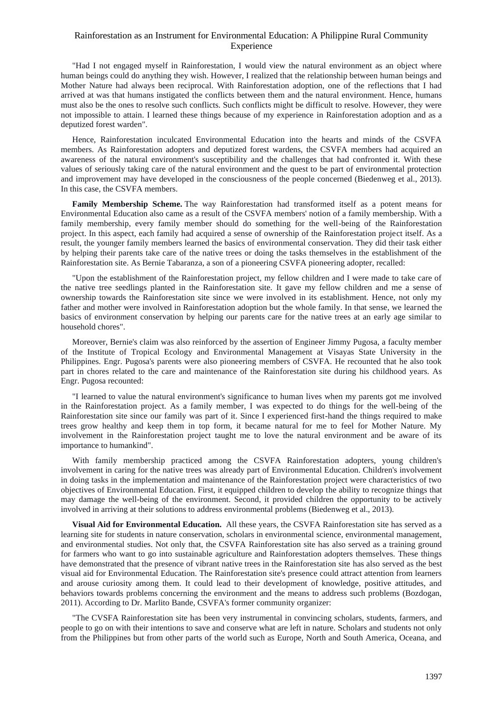"Had I not engaged myself in Rainforestation, I would view the natural environment as an object where human beings could do anything they wish. However, I realized that the relationship between human beings and Mother Nature had always been reciprocal. With Rainforestation adoption, one of the reflections that I had arrived at was that humans instigated the conflicts between them and the natural environment. Hence, humans must also be the ones to resolve such conflicts. Such conflicts might be difficult to resolve. However, they were not impossible to attain. I learned these things because of my experience in Rainforestation adoption and as a deputized forest warden".

Hence, Rainforestation inculcated Environmental Education into the hearts and minds of the CSVFA members. As Rainforestation adopters and deputized forest wardens, the CSVFA members had acquired an awareness of the natural environment's susceptibility and the challenges that had confronted it. With these values of seriously taking care of the natural environment and the quest to be part of environmental protection and improvement may have developed in the consciousness of the people concerned (Biedenweg et al., 2013). In this case, the CSVFA members.

**Family Membership Scheme.** The way Rainforestation had transformed itself as a potent means for Environmental Education also came as a result of the CSVFA members' notion of a family membership. With a family membership, every family member should do something for the well-being of the Rainforestation project. In this aspect, each family had acquired a sense of ownership of the Rainforestation project itself. As a result, the younger family members learned the basics of environmental conservation. They did their task either by helping their parents take care of the native trees or doing the tasks themselves in the establishment of the Rainforestation site. As Bernie Tabaranza, a son of a pioneering CSVFA pioneering adopter, recalled:

"Upon the establishment of the Rainforestation project, my fellow children and I were made to take care of the native tree seedlings planted in the Rainforestation site. It gave my fellow children and me a sense of ownership towards the Rainforestation site since we were involved in its establishment. Hence, not only my father and mother were involved in Rainforestation adoption but the whole family. In that sense, we learned the basics of environment conservation by helping our parents care for the native trees at an early age similar to household chores".

Moreover, Bernie's claim was also reinforced by the assertion of Engineer Jimmy Pugosa, a faculty member of the Institute of Tropical Ecology and Environmental Management at Visayas State University in the Philippines. Engr. Pugosa's parents were also pioneering members of CSVFA. He recounted that he also took part in chores related to the care and maintenance of the Rainforestation site during his childhood years. As Engr. Pugosa recounted:

"I learned to value the natural environment's significance to human lives when my parents got me involved in the Rainforestation project. As a family member, I was expected to do things for the well-being of the Rainforestation site since our family was part of it. Since I experienced first-hand the things required to make trees grow healthy and keep them in top form, it became natural for me to feel for Mother Nature. My involvement in the Rainforestation project taught me to love the natural environment and be aware of its importance to humankind".

With family membership practiced among the CSVFA Rainforestation adopters, young children's involvement in caring for the native trees was already part of Environmental Education. Children's involvement in doing tasks in the implementation and maintenance of the Rainforestation project were characteristics of two objectives of Environmental Education. First, it equipped children to develop the ability to recognize things that may damage the well-being of the environment. Second, it provided children the opportunity to be actively involved in arriving at their solutions to address environmental problems (Biedenweg et al., 2013).

**Visual Aid for Environmental Education.** All these years, the CSVFA Rainforestation site has served as a learning site for students in nature conservation, scholars in environmental science, environmental management, and environmental studies. Not only that, the CSVFA Rainforestation site has also served as a training ground for farmers who want to go into sustainable agriculture and Rainforestation adopters themselves. These things have demonstrated that the presence of vibrant native trees in the Rainforestation site has also served as the best visual aid for Environmental Education. The Rainforestation site's presence could attract attention from learners and arouse curiosity among them. It could lead to their development of knowledge, positive attitudes, and behaviors towards problems concerning the environment and the means to address such problems (Bozdogan, 2011). According to Dr. Marlito Bande, CSVFA's former community organizer:

"The CVSFA Rainforestation site has been very instrumental in convincing scholars, students, farmers, and people to go on with their intentions to save and conserve what are left in nature. Scholars and students not only from the Philippines but from other parts of the world such as Europe, North and South America, Oceana, and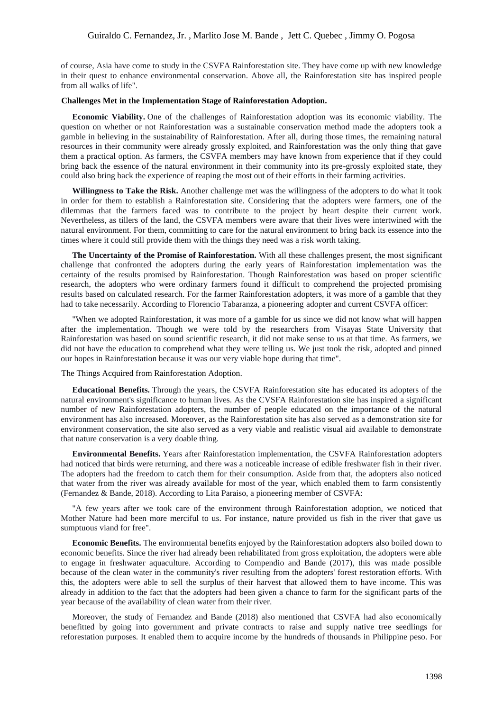of course, Asia have come to study in the CSVFA Rainforestation site. They have come up with new knowledge in their quest to enhance environmental conservation. Above all, the Rainforestation site has inspired people from all walks of life".

#### **Challenges Met in the Implementation Stage of Rainforestation Adoption.**

**Economic Viability.** One of the challenges of Rainforestation adoption was its economic viability. The question on whether or not Rainforestation was a sustainable conservation method made the adopters took a gamble in believing in the sustainability of Rainforestation. After all, during those times, the remaining natural resources in their community were already grossly exploited, and Rainforestation was the only thing that gave them a practical option. As farmers, the CSVFA members may have known from experience that if they could bring back the essence of the natural environment in their community into its pre-grossly exploited state, they could also bring back the experience of reaping the most out of their efforts in their farming activities.

**Willingness to Take the Risk.** Another challenge met was the willingness of the adopters to do what it took in order for them to establish a Rainforestation site. Considering that the adopters were farmers, one of the dilemmas that the farmers faced was to contribute to the project by heart despite their current work. Nevertheless, as tillers of the land, the CSVFA members were aware that their lives were intertwined with the natural environment. For them, committing to care for the natural environment to bring back its essence into the times where it could still provide them with the things they need was a risk worth taking.

**The Uncertainty of the Promise of Rainforestation.** With all these challenges present, the most significant challenge that confronted the adopters during the early years of Rainforestation implementation was the certainty of the results promised by Rainforestation. Though Rainforestation was based on proper scientific research, the adopters who were ordinary farmers found it difficult to comprehend the projected promising results based on calculated research. For the farmer Rainforestation adopters, it was more of a gamble that they had to take necessarily. According to Florencio Tabaranza, a pioneering adopter and current CSVFA officer:

"When we adopted Rainforestation, it was more of a gamble for us since we did not know what will happen after the implementation. Though we were told by the researchers from Visayas State University that Rainforestation was based on sound scientific research, it did not make sense to us at that time. As farmers, we did not have the education to comprehend what they were telling us. We just took the risk, adopted and pinned our hopes in Rainforestation because it was our very viable hope during that time".

The Things Acquired from Rainforestation Adoption.

**Educational Benefits.** Through the years, the CSVFA Rainforestation site has educated its adopters of the natural environment's significance to human lives. As the CVSFA Rainforestation site has inspired a significant number of new Rainforestation adopters, the number of people educated on the importance of the natural environment has also increased. Moreover, as the Rainforestation site has also served as a demonstration site for environment conservation, the site also served as a very viable and realistic visual aid available to demonstrate that nature conservation is a very doable thing.

**Environmental Benefits.** Years after Rainforestation implementation, the CSVFA Rainforestation adopters had noticed that birds were returning, and there was a noticeable increase of edible freshwater fish in their river. The adopters had the freedom to catch them for their consumption. Aside from that, the adopters also noticed that water from the river was already available for most of the year, which enabled them to farm consistently (Fernandez & Bande, 2018). According to Lita Paraiso, a pioneering member of CSVFA:

"A few years after we took care of the environment through Rainforestation adoption, we noticed that Mother Nature had been more merciful to us. For instance, nature provided us fish in the river that gave us sumptuous viand for free".

**Economic Benefits.** The environmental benefits enjoyed by the Rainforestation adopters also boiled down to economic benefits. Since the river had already been rehabilitated from gross exploitation, the adopters were able to engage in freshwater aquaculture. According to Compendio and Bande (2017), this was made possible because of the clean water in the community's river resulting from the adopters' forest restoration efforts. With this, the adopters were able to sell the surplus of their harvest that allowed them to have income. This was already in addition to the fact that the adopters had been given a chance to farm for the significant parts of the year because of the availability of clean water from their river.

Moreover, the study of Fernandez and Bande (2018) also mentioned that CSVFA had also economically benefitted by going into government and private contracts to raise and supply native tree seedlings for reforestation purposes. It enabled them to acquire income by the hundreds of thousands in Philippine peso. For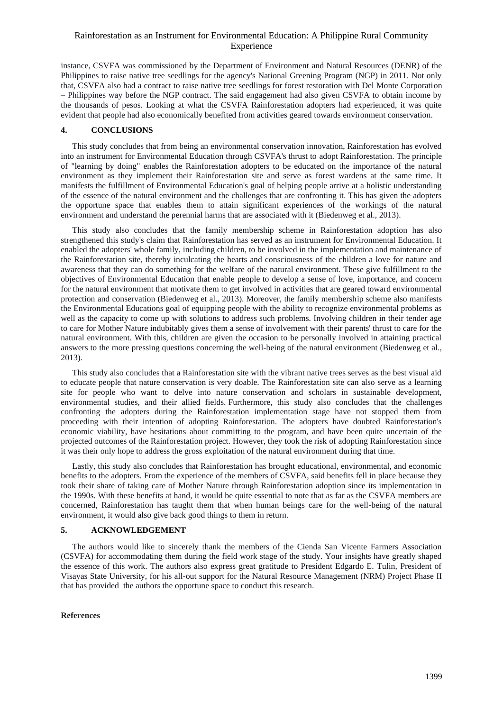instance, CSVFA was commissioned by the Department of Environment and Natural Resources (DENR) of the Philippines to raise native tree seedlings for the agency's National Greening Program (NGP) in 2011. Not only that, CSVFA also had a contract to raise native tree seedlings for forest restoration with Del Monte Corporation – Philippines way before the NGP contract. The said engagement had also given CSVFA to obtain income by the thousands of pesos. Looking at what the CSVFA Rainforestation adopters had experienced, it was quite evident that people had also economically benefited from activities geared towards environment conservation.

#### **4. CONCLUSIONS**

This study concludes that from being an environmental conservation innovation, Rainforestation has evolved into an instrument for Environmental Education through CSVFA's thrust to adopt Rainforestation. The principle of "learning by doing" enables the Rainforestation adopters to be educated on the importance of the natural environment as they implement their Rainforestation site and serve as forest wardens at the same time. It manifests the fulfillment of Environmental Education's goal of helping people arrive at a holistic understanding of the essence of the natural environment and the challenges that are confronting it. This has given the adopters the opportune space that enables them to attain significant experiences of the workings of the natural environment and understand the perennial harms that are associated with it (Biedenweg et al., 2013).

This study also concludes that the family membership scheme in Rainforestation adoption has also strengthened this study's claim that Rainforestation has served as an instrument for Environmental Education. It enabled the adopters' whole family, including children, to be involved in the implementation and maintenance of the Rainforestation site, thereby inculcating the hearts and consciousness of the children a love for nature and awareness that they can do something for the welfare of the natural environment. These give fulfillment to the objectives of Environmental Education that enable people to develop a sense of love, importance, and concern for the natural environment that motivate them to get involved in activities that are geared toward environmental protection and conservation (Biedenweg et al., 2013). Moreover, the family membership scheme also manifests the Environmental Educations goal of equipping people with the ability to recognize environmental problems as well as the capacity to come up with solutions to address such problems. Involving children in their tender age to care for Mother Nature indubitably gives them a sense of involvement with their parents' thrust to care for the natural environment. With this, children are given the occasion to be personally involved in attaining practical answers to the more pressing questions concerning the well-being of the natural environment (Biedenweg et al., 2013).

This study also concludes that a Rainforestation site with the vibrant native trees serves as the best visual aid to educate people that nature conservation is very doable. The Rainforestation site can also serve as a learning site for people who want to delve into nature conservation and scholars in sustainable development, environmental studies, and their allied fields. Furthermore, this study also concludes that the challenges confronting the adopters during the Rainforestation implementation stage have not stopped them from proceeding with their intention of adopting Rainforestation. The adopters have doubted Rainforestation's economic viability, have hesitations about committing to the program, and have been quite uncertain of the projected outcomes of the Rainforestation project. However, they took the risk of adopting Rainforestation since it was their only hope to address the gross exploitation of the natural environment during that time.

Lastly, this study also concludes that Rainforestation has brought educational, environmental, and economic benefits to the adopters. From the experience of the members of CSVFA, said benefits fell in place because they took their share of taking care of Mother Nature through Rainforestation adoption since its implementation in the 1990s. With these benefits at hand, it would be quite essential to note that as far as the CSVFA members are concerned, Rainforestation has taught them that when human beings care for the well-being of the natural environment, it would also give back good things to them in return.

#### **5. ACKNOWLEDGEMENT**

The authors would like to sincerely thank the members of the Cienda San Vicente Farmers Association (CSVFA) for accommodating them during the field work stage of the study. Your insights have greatly shaped the essence of this work. The authors also express great gratitude to President Edgardo E. Tulin, President of Visayas State University, for his all-out support for the Natural Resource Management (NRM) Project Phase II that has provided the authors the opportune space to conduct this research.

#### **References**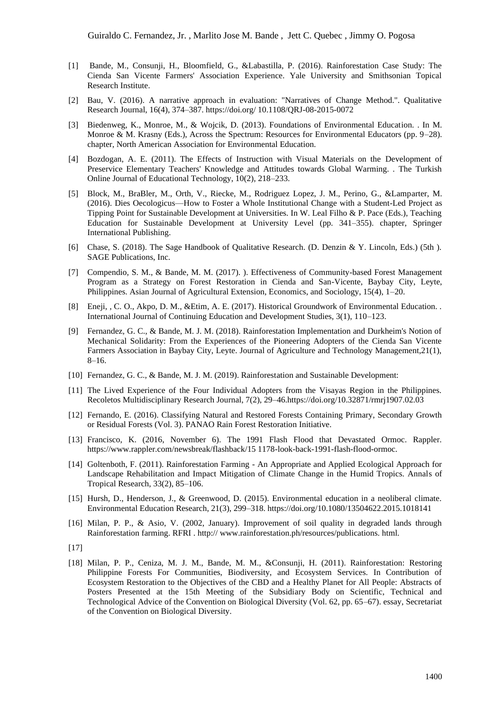- [1] Bande, M., Consunji, H., Bloomfield, G., &Labastilla, P. (2016). Rainforestation Case Study: The Cienda San Vicente Farmers' Association Experience. Yale University and Smithsonian Topical Research Institute.
- [2] Bau, V. (2016). A narrative approach in evaluation: "Narratives of Change Method.". Qualitative Research Journal, 16(4), 374–387. https://doi.org/ 10.1108/QRJ-08-2015-0072
- Biedenweg, K., Monroe, M., & Wojcik, D. (2013). Foundations of Environmental Education. . In M. Monroe & M. Krasny (Eds.), Across the Spectrum: Resources for Environmental Educators (pp. 9–28). chapter, North American Association for Environmental Education.
- [4] Bozdogan, A. E. (2011). The Effects of Instruction with Visual Materials on the Development of Preservice Elementary Teachers' Knowledge and Attitudes towards Global Warming. . The Turkish Online Journal of Educational Technology, 10(2), 218–233.
- [5] Block, M., BraBler, M., Orth, V., Riecke, M., Rodriguez Lopez, J. M., Perino, G., &Lamparter, M. (2016). Dies Oecologicus—How to Foster a Whole Institutional Change with a Student-Led Project as Tipping Point for Sustainable Development at Universities. In W. Leal Filho & P. Pace (Eds.), Teaching Education for Sustainable Development at University Level (pp. 341–355). chapter, Springer International Publishing.
- [6] Chase, S. (2018). The Sage Handbook of Qualitative Research. (D. Denzin & Y. Lincoln, Eds.) (5th ). SAGE Publications, Inc.
- [7] Compendio, S. M., & Bande, M. M. (2017). ). Effectiveness of Community-based Forest Management Program as a Strategy on Forest Restoration in Cienda and San-Vicente, Baybay City, Leyte, Philippines. Asian Journal of Agricultural Extension, Economics, and Sociology, 15(4), 1–20.
- [8] Eneji, , C. O., Akpo, D. M., &Etim, A. E. (2017). Historical Groundwork of Environmental Education. . International Journal of Continuing Education and Development Studies, 3(1), 110–123.
- [9] Fernandez, G. C., & Bande, M. J. M. (2018). Rainforestation Implementation and Durkheim's Notion of Mechanical Solidarity: From the Experiences of the Pioneering Adopters of the Cienda San Vicente Farmers Association in Baybay City, Leyte. Journal of Agriculture and Technology Management,21(1), 8–16.
- [10] Fernandez, G. C., & Bande, M. J. M. (2019). Rainforestation and Sustainable Development:
- [11] The Lived Experience of the Four Individual Adopters from the Visayas Region in the Philippines. Recoletos Multidisciplinary Research Journal, 7(2), 29–46.https://doi.org/10.32871/rmrj1907.02.03
- [12] Fernando, E. (2016). Classifying Natural and Restored Forests Containing Primary, Secondary Growth or Residual Forests (Vol. 3). PANAO Rain Forest Restoration Initiative.
- [13] Francisco, K. (2016, November 6). The 1991 Flash Flood that Devastated Ormoc. Rappler. https://www.rappler.com/newsbreak/flashback/15 1178-look-back-1991-flash-flood-ormoc.
- [14] Goltenboth, F. (2011). Rainforestation Farming An Appropriate and Applied Ecological Approach for Landscape Rehabilitation and Impact Mitigation of Climate Change in the Humid Tropics. Annals of Tropical Research, 33(2), 85–106.
- [15] Hursh, D., Henderson, J., & Greenwood, D. (2015). Environmental education in a neoliberal climate. Environmental Education Research, 21(3), 299–318. https://doi.org/10.1080/13504622.2015.1018141
- [16] Milan, P. P., & Asio, V. (2002, January). Improvement of soil quality in degraded lands through Rainforestation farming. RFRI . http:// www.rainforestation.ph/resources/publications. html.
- [17]
- [18] Milan, P. P., Ceniza, M. J. M., Bande, M. M., &Consunji, H. (2011). Rainforestation: Restoring Philippine Forests For Communities, Biodiversity, and Ecosystem Services. In Contribution of Ecosystem Restoration to the Objectives of the CBD and a Healthy Planet for All People: Abstracts of Posters Presented at the 15th Meeting of the Subsidiary Body on Scientific, Technical and Technological Advice of the Convention on Biological Diversity (Vol. 62, pp. 65–67). essay, Secretariat of the Convention on Biological Diversity.